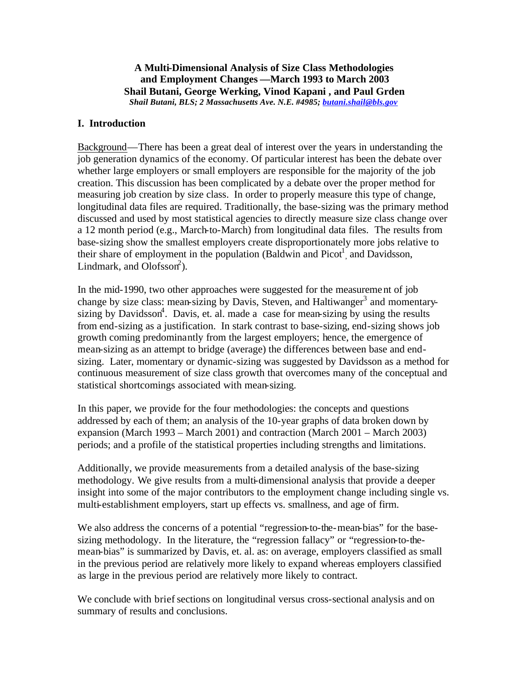### **A Multi-Dimensional Analysis of Size Class Methodologies and Employment Changes —March 1993 to March 2003 Shail Butani, George Werking, Vinod Kapani , and Paul Grden** *Shail Butani, BLS; 2 Massachusetts Ave. N.E. #4985; butani.shail@bls.gov*

## **I. Introduction**

Background—There has been a great deal of interest over the years in understanding the job generation dynamics of the economy. Of particular interest has been the debate over whether large employers or small employers are responsible for the majority of the job creation. This discussion has been complicated by a debate over the proper method for measuring job creation by size class. In order to properly measure this type of change, longitudinal data files are required. Traditionally, the base-sizing was the primary method discussed and used by most statistical agencies to directly measure size class change over a 12 month period (e.g., March-to-March) from longitudinal data files. The results from base-sizing show the smallest employers create disproportionately more jobs relative to their share of employment in the population (Baldwin and  $Picot<sup>1</sup>$ , and Davidsson, Lindmark, and  $Olofsson<sup>2</sup>$ ).

In the mid-1990, two other approaches were suggested for the measurement of job change by size class: mean-sizing by Davis, Steven, and Haltiwanger<sup>3</sup> and momentarysizing by Davidsson<sup>4</sup>. Davis, et. al. made a case for mean-sizing by using the results from end-sizing as a justification. In stark contrast to base-sizing, end-sizing shows job growth coming predominantly from the largest employers; hence, the emergence of mean-sizing as an attempt to bridge (average) the differences between base and endsizing. Later, momentary or dynamic-sizing was suggested by Davidsson as a method for continuous measurement of size class growth that overcomes many of the conceptual and statistical shortcomings associated with mean-sizing.

In this paper, we provide for the four methodologies: the concepts and questions addressed by each of them; an analysis of the 10-year graphs of data broken down by expansion (March 1993 – March 2001) and contraction (March 2001 – March 2003) periods; and a profile of the statistical properties including strengths and limitations.

Additionally, we provide measurements from a detailed analysis of the base-sizing methodology. We give results from a multi-dimensional analysis that provide a deeper insight into some of the major contributors to the employment change including single vs. multi-establishment employers, start up effects vs. smallness, and age of firm.

We also address the concerns of a potential "regression-to-the-mean-bias" for the basesizing methodology. In the literature, the "regression fallacy" or "regression-to-themean-bias" is summarized by Davis, et. al. as: on average, employers classified as small in the previous period are relatively more likely to expand whereas employers classified as large in the previous period are relatively more likely to contract.

We conclude with brief sections on longitudinal versus cross-sectional analysis and on summary of results and conclusions.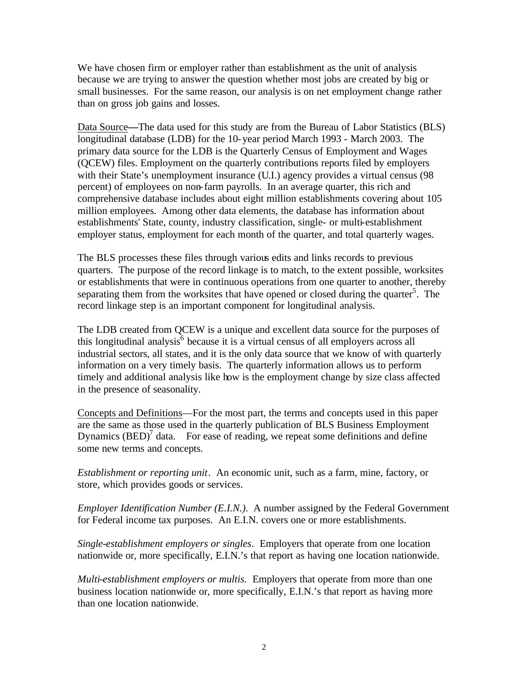We have chosen firm or employer rather than establishment as the unit of analysis because we are trying to answer the question whether most jobs are created by big or small businesses. For the same reason, our analysis is on net employment change rather than on gross job gains and losses.

Data Source**—**The data used for this study are from the Bureau of Labor Statistics (BLS) longitudinal database (LDB) for the 10-year period March 1993 - March 2003. The primary data source for the LDB is the Quarterly Census of Employment and Wages (QCEW) files. Employment on the quarterly contributions reports filed by employers with their State's unemployment insurance (U.I.) agency provides a virtual census (98 percent) of employees on non-farm payrolls. In an average quarter, this rich and comprehensive database includes about eight million establishments covering about 105 million employees. Among other data elements, the database has information about establishments' State, county, industry classification, single- or multi-establishment employer status, employment for each month of the quarter, and total quarterly wages.

The BLS processes these files through various edits and links records to previous quarters. The purpose of the record linkage is to match, to the extent possible, worksites or establishments that were in continuous operations from one quarter to another, thereby separating them from the worksites that have opened or closed during the quarter<sup>5</sup>. The record linkage step is an important component for longitudinal analysis.

The LDB created from QCEW is a unique and excellent data source for the purposes of this longitudinal analysis<sup> $6$ </sup> because it is a virtual census of all employers across all industrial sectors, all states, and it is the only data source that we know of with quarterly information on a very timely basis. The quarterly information allows us to perform timely and additional analysis like how is the employment change by size class affected in the presence of seasonality.

Concepts and Definitions—For the most part, the terms and concepts used in this paper are the same as those used in the quarterly publication of BLS Business Employment Dynamics  $(BED)^7$  data. For ease of reading, we repeat some definitions and define some new terms and concepts.

*Establishment or reporting unit*. An economic unit, such as a farm, mine, factory, or store, which provides goods or services.

*Employer Identification Number (E.I.N.).* A number assigned by the Federal Government for Federal income tax purposes. An E.I.N. covers one or more establishments.

*Single-establishment employers or singles*. Employers that operate from one location nationwide or, more specifically, E.I.N.'s that report as having one location nationwide.

*Multi-establishment employers or multis*. Employers that operate from more than one business location nationwide or, more specifically, E.I.N.'s that report as having more than one location nationwide.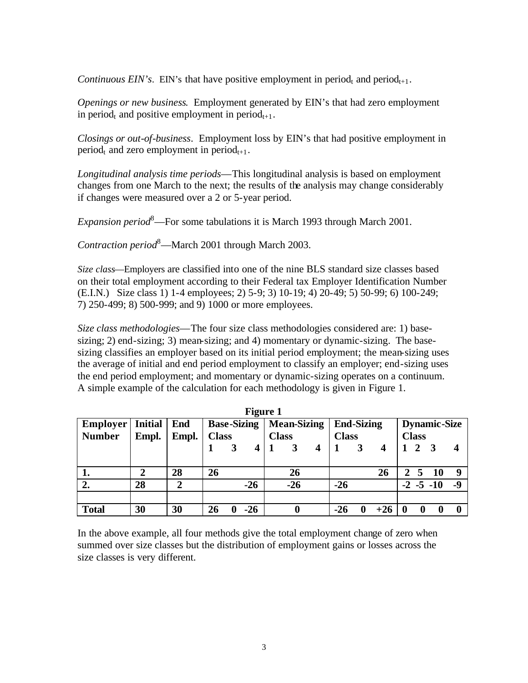*Continuous EIN's*. EIN's that have positive employment in period<sub>t</sub> and period<sub>t+1</sub>.

*Openings or new business*. Employment generated by EIN's that had zero employment in period<sub>t</sub> and positive employment in period<sub>t+1</sub>.

*Closings or out-of-business*. Employment loss by EIN's that had positive employment in period<sub>t</sub> and zero employment in period<sub>t+1</sub>.

*Longitudinal analysis time periods*—This longitudinal analysis is based on employment changes from one March to the next; the results of the analysis may change considerably if changes were measured over a 2 or 5-year period.

*Expansion period*<sup>8</sup>—For some tabulations it is March 1993 through March 2001.

*Contraction period*<sup>8</sup>—March 2001 through March 2003.

*Size class*—Employers are classified into one of the nine BLS standard size classes based on their total employment according to their Federal tax Employer Identification Number (E.I.N.) Size class 1) 1-4 employees; 2) 5-9; 3) 10-19; 4) 20-49; 5) 50-99; 6) 100-249; 7) 250-499; 8) 500-999; and 9) 1000 or more employees.

*Size class methodologies*—The four size class methodologies considered are: 1) basesizing; 2) end-sizing; 3) mean-sizing; and 4) momentary or dynamic-sizing. The basesizing classifies an employer based on its initial period employment; the mean-sizing uses the average of initial and end period employment to classify an employer; end-sizing uses the end period employment; and momentary or dynamic-sizing operates on a continuum. A simple example of the calculation for each methodology is given in Figure 1.

|                 |                |            |              | <b>Figure 1</b>    |              |                    |                   |       |              |              |                     |      |
|-----------------|----------------|------------|--------------|--------------------|--------------|--------------------|-------------------|-------|--------------|--------------|---------------------|------|
| <b>Employer</b> | <b>Initial</b> | <b>End</b> |              | <b>Base-Sizing</b> |              | <b>Mean-Sizing</b> | <b>End-Sizing</b> |       |              |              | <b>Dynamic-Size</b> |      |
| <b>Number</b>   | Empl.          | Empl.      | <b>Class</b> |                    | <b>Class</b> |                    | <b>Class</b>      |       |              | <b>Class</b> |                     |      |
|                 |                |            |              |                    |              |                    |                   |       |              | 2            |                     |      |
|                 |                |            |              |                    |              |                    |                   |       |              |              |                     |      |
| 1.              | 2              | 28         | 26           |                    |              | 26                 |                   | 26    | $\mathbf{2}$ | 5            | -10                 | 9    |
| 2.              | 28             | າ          |              | $-26$              |              | $-26$              | $-26$             |       |              |              | $-2$ $-5$ $-10$     | $-9$ |
|                 |                |            |              |                    |              |                    |                   |       |              |              |                     |      |
| <b>Total</b>    | 30             | 30         | 26           | $-26$              |              |                    | $-26$             | $+26$ |              |              |                     |      |

In the above example, all four methods give the total employment change of zero when summed over size classes but the distribution of employment gains or losses across the size classes is very different.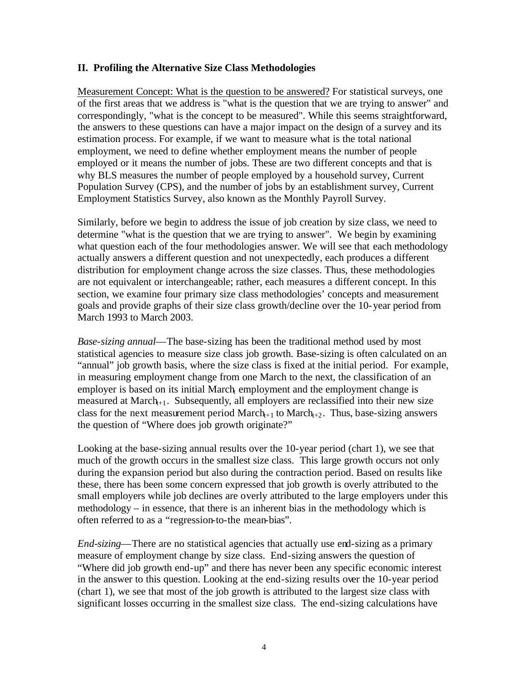## **II. Profiling the Alternative Size Class Methodologies**

Measurement Concept: What is the question to be answered? For statistical surveys, one of the first areas that we address is "what is the question that we are trying to answer" and correspondingly, "what is the concept to be measured". While this seems straightforward, the answers to these questions can have a major impact on the design of a survey and its estimation process. For example, if we want to measure what is the total national employment, we need to define whether employment means the number of people employed or it means the number of jobs. These are two different concepts and that is why BLS measures the number of people employed by a household survey, Current Population Survey (CPS), and the number of jobs by an establishment survey, Current Employment Statistics Survey, also known as the Monthly Payroll Survey.

Similarly, before we begin to address the issue of job creation by size class, we need to determine "what is the question that we are trying to answer". We begin by examining what question each of the four methodologies answer. We will see that each methodology actually answers a different question and not unexpectedly, each produces a different distribution for employment change across the size classes. Thus, these methodologies are not equivalent or interchangeable; rather, each measures a different concept. In this section, we examine four primary size class methodologies' concepts and measurement goals and provide graphs of their size class growth/decline over the 10-year period from March 1993 to March 2003.

*Base-sizing annual*—The base-sizing has been the traditional method used by most statistical agencies to measure size class job growth. Base-sizing is often calculated on an "annual" job growth basis, where the size class is fixed at the initial period. For example, in measuring employment change from one March to the next, the classification of an employer is based on its initial March employment and the employment change is measured at March $t_{+1}$ . Subsequently, all employers are reclassified into their new size class for the next measurement period March<sub> $+1$ </sub> to March $_{+2}$ . Thus, base-sizing answers the question of "Where does job growth originate?"

Looking at the base-sizing annual results over the 10-year period (chart 1), we see that much of the growth occurs in the smallest size class. This large growth occurs not only during the expansion period but also during the contraction period. Based on results like these, there has been some concern expressed that job growth is overly attributed to the small employers while job declines are overly attributed to the large employers under this methodology – in essence, that there is an inherent bias in the methodology which is often referred to as a "regression-to-the mean-bias".

*End-sizing*—There are no statistical agencies that actually use end-sizing as a primary measure of employment change by size class. End-sizing answers the question of "Where did job growth end-up" and there has never been any specific economic interest in the answer to this question. Looking at the end-sizing results over the 10-year period (chart 1), we see that most of the job growth is attributed to the largest size class with significant losses occurring in the smallest size class. The end-sizing calculations have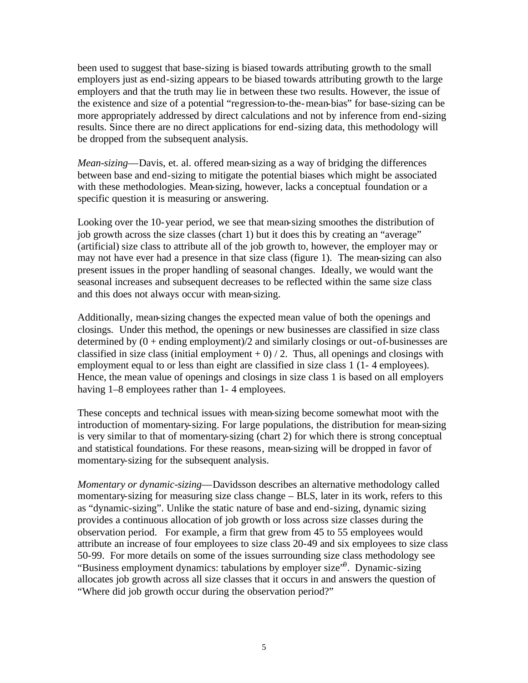been used to suggest that base-sizing is biased towards attributing growth to the small employers just as end-sizing appears to be biased towards attributing growth to the large employers and that the truth may lie in between these two results. However, the issue of the existence and size of a potential "regression-to-the-mean-bias" for base-sizing can be more appropriately addressed by direct calculations and not by inference from end-sizing results. Since there are no direct applications for end-sizing data, this methodology will be dropped from the subsequent analysis.

*Mean-sizing*—Davis, et. al. offered mean-sizing as a way of bridging the differences between base and end-sizing to mitigate the potential biases which might be associated with these methodologies. Mean-sizing, however, lacks a conceptual foundation or a specific question it is measuring or answering.

Looking over the 10-year period, we see that mean-sizing smoothes the distribution of job growth across the size classes (chart 1) but it does this by creating an "average" (artificial) size class to attribute all of the job growth to, however, the employer may or may not have ever had a presence in that size class (figure 1). The mean-sizing can also present issues in the proper handling of seasonal changes. Ideally, we would want the seasonal increases and subsequent decreases to be reflected within the same size class and this does not always occur with mean-sizing.

Additionally, mean-sizing changes the expected mean value of both the openings and closings. Under this method, the openings or new businesses are classified in size class determined by  $(0 +$  ending employment)/2 and similarly closings or out-of-businesses are classified in size class (initial employment  $+ 0$ ) / 2. Thus, all openings and closings with employment equal to or less than eight are classified in size class 1 (1- 4 employees). Hence, the mean value of openings and closings in size class 1 is based on all employers having 1–8 employees rather than 1-4 employees.

These concepts and technical issues with mean-sizing become somewhat moot with the introduction of momentary-sizing. For large populations, the distribution for mean-sizing is very similar to that of momentary-sizing (chart 2) for which there is strong conceptual and statistical foundations. For these reasons, mean-sizing will be dropped in favor of momentary-sizing for the subsequent analysis.

*Momentary or dynamic-sizing*—Davidsson describes an alternative methodology called momentary-sizing for measuring size class change – BLS, later in its work, refers to this as "dynamic-sizing". Unlike the static nature of base and end-sizing, dynamic sizing provides a continuous allocation of job growth or loss across size classes during the observation period. For example, a firm that grew from 45 to 55 employees would attribute an increase of four employees to size class 20-49 and six employees to size class 50-99. For more details on some of the issues surrounding size class methodology see "Business employment dynamics: tabulations by employer size"<sup>9</sup>. Dynamic-sizing allocates job growth across all size classes that it occurs in and answers the question of "Where did job growth occur during the observation period?"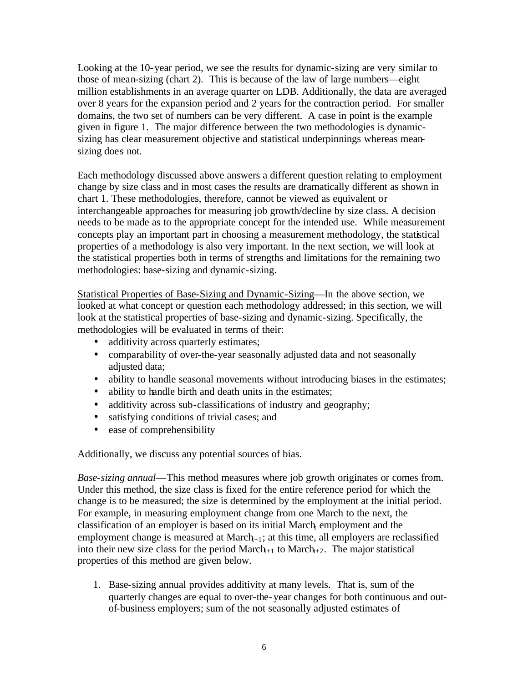Looking at the 10-year period, we see the results for dynamic-sizing are very similar to those of mean-sizing (chart 2). This is because of the law of large numbers—eight million establishments in an average quarter on LDB. Additionally, the data are averaged over 8 years for the expansion period and 2 years for the contraction period. For smaller domains, the two set of numbers can be very different. A case in point is the example given in figure 1. The major difference between the two methodologies is dynamicsizing has clear measurement objective and statistical underpinnings whereas meansizing does not.

Each methodology discussed above answers a different question relating to employment change by size class and in most cases the results are dramatically different as shown in chart 1. These methodologies, therefore, cannot be viewed as equivalent or interchangeable approaches for measuring job growth/decline by size class. A decision needs to be made as to the appropriate concept for the intended use. While measurement concepts play an important part in choosing a measurement methodology, the statistical properties of a methodology is also very important. In the next section, we will look at the statistical properties both in terms of strengths and limitations for the remaining two methodologies: base-sizing and dynamic-sizing.

Statistical Properties of Base-Sizing and Dynamic-Sizing—In the above section, we looked at what concept or question each methodology addressed; in this section, we will look at the statistical properties of base-sizing and dynamic-sizing. Specifically, the methodologies will be evaluated in terms of their:

- additivity across quarterly estimates;
- comparability of over-the-year seasonally adjusted data and not seasonally adjusted data;
- ability to handle seasonal movements without introducing biases in the estimates;
- ability to handle birth and death units in the estimates;
- additivity across sub-classifications of industry and geography;
- satisfying conditions of trivial cases; and
- ease of comprehensibility

Additionally, we discuss any potential sources of bias.

*Base-sizing annual*—This method measures where job growth originates or comes from. Under this method, the size class is fixed for the entire reference period for which the change is to be measured; the size is determined by the employment at the initial period. For example, in measuring employment change from one March to the next, the classification of an employer is based on its initial March employment and the employment change is measured at March $_{+1}$ ; at this time, all employers are reclassified into their new size class for the period  $\text{March}_{t+1}$  to  $\text{March}_{t+2}$ . The major statistical properties of this method are given below.

1. Base-sizing annual provides additivity at many levels. That is, sum of the quarterly changes are equal to over-the-year changes for both continuous and outof-business employers; sum of the not seasonally adjusted estimates of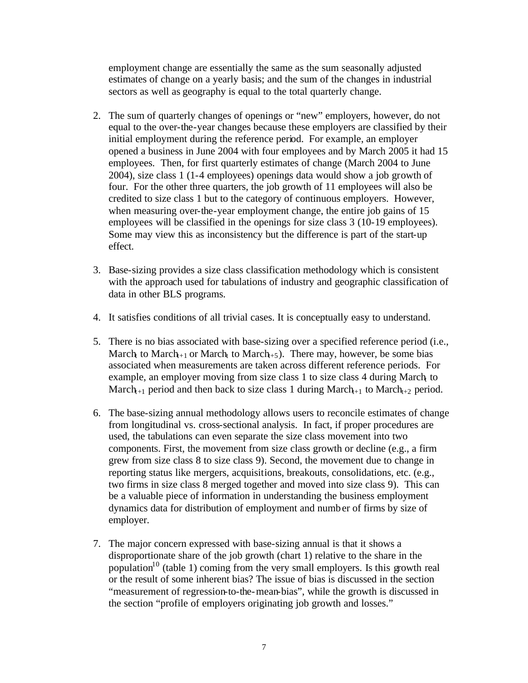employment change are essentially the same as the sum seasonally adjusted estimates of change on a yearly basis; and the sum of the changes in industrial sectors as well as geography is equal to the total quarterly change.

- 2. The sum of quarterly changes of openings or "new" employers, however, do not equal to the over-the-year changes because these employers are classified by their initial employment during the reference period. For example, an employer opened a business in June 2004 with four employees and by March 2005 it had 15 employees. Then, for first quarterly estimates of change (March 2004 to June 2004), size class 1 (1-4 employees) openings data would show a job growth of four. For the other three quarters, the job growth of 11 employees will also be credited to size class 1 but to the category of continuous employers. However, when measuring over-the-year employment change, the entire job gains of 15 employees will be classified in the openings for size class 3 (10-19 employees). Some may view this as inconsistency but the difference is part of the start-up effect.
- 3. Base-sizing provides a size class classification methodology which is consistent with the approach used for tabulations of industry and geographic classification of data in other BLS programs.
- 4. It satisfies conditions of all trivial cases. It is conceptually easy to understand.
- 5. There is no bias associated with base-sizing over a specified reference period (i.e., March<sub>t</sub> to March<sub>t+1</sub> or March<sub>t</sub> to March<sub>t+5</sub>). There may, however, be some bias associated when measurements are taken across different reference periods. For example, an employer moving from size class 1 to size class 4 during March to March<sub>+1</sub> period and then back to size class 1 during March<sub>+1</sub> to March<sub>+2</sub> period.
- 6. The base-sizing annual methodology allows users to reconcile estimates of change from longitudinal vs. cross-sectional analysis. In fact, if proper procedures are used, the tabulations can even separate the size class movement into two components. First, the movement from size class growth or decline (e.g., a firm grew from size class 8 to size class 9). Second, the movement due to change in reporting status like mergers, acquisitions, breakouts, consolidations, etc. (e.g., two firms in size class 8 merged together and moved into size class 9). This can be a valuable piece of information in understanding the business employment dynamics data for distribution of employment and number of firms by size of employer.
- 7. The major concern expressed with base-sizing annual is that it shows a disproportionate share of the job growth (chart 1) relative to the share in the population<sup>10</sup> (table 1) coming from the very small employers. Is this growth real or the result of some inherent bias? The issue of bias is discussed in the section "measurement of regression-to-the-mean-bias", while the growth is discussed in the section "profile of employers originating job growth and losses."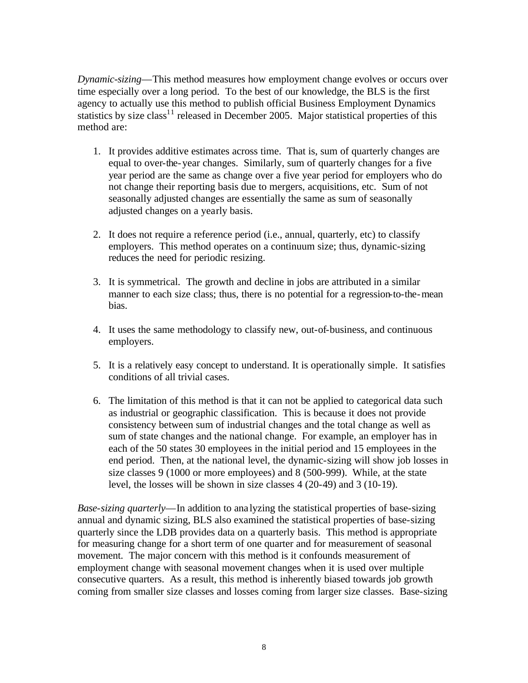*Dynamic-sizing*—This method measures how employment change evolves or occurs over time especially over a long period. To the best of our knowledge, the BLS is the first agency to actually use this method to publish official Business Employment Dynamics statistics by size class<sup>11</sup> released in December 2005. Major statistical properties of this method are:

- 1. It provides additive estimates across time. That is, sum of quarterly changes are equal to over-the-year changes. Similarly, sum of quarterly changes for a five year period are the same as change over a five year period for employers who do not change their reporting basis due to mergers, acquisitions, etc. Sum of not seasonally adjusted changes are essentially the same as sum of seasonally adjusted changes on a yearly basis.
- 2. It does not require a reference period (i.e., annual, quarterly, etc) to classify employers. This method operates on a continuum size; thus, dynamic-sizing reduces the need for periodic resizing.
- 3. It is symmetrical. The growth and decline in jobs are attributed in a similar manner to each size class; thus, there is no potential for a regression-to-the-mean bias.
- 4. It uses the same methodology to classify new, out-of-business, and continuous employers.
- 5. It is a relatively easy concept to understand. It is operationally simple. It satisfies conditions of all trivial cases.
- 6. The limitation of this method is that it can not be applied to categorical data such as industrial or geographic classification. This is because it does not provide consistency between sum of industrial changes and the total change as well as sum of state changes and the national change. For example, an employer has in each of the 50 states 30 employees in the initial period and 15 employees in the end period. Then, at the national level, the dynamic-sizing will show job losses in size classes 9 (1000 or more employees) and 8 (500-999). While, at the state level, the losses will be shown in size classes 4 (20-49) and 3 (10-19).

*Base-sizing quarterly*—In addition to ana lyzing the statistical properties of base-sizing annual and dynamic sizing, BLS also examined the statistical properties of base-sizing quarterly since the LDB provides data on a quarterly basis. This method is appropriate for measuring change for a short term of one quarter and for measurement of seasonal movement. The major concern with this method is it confounds measurement of employment change with seasonal movement changes when it is used over multiple consecutive quarters. As a result, this method is inherently biased towards job growth coming from smaller size classes and losses coming from larger size classes. Base-sizing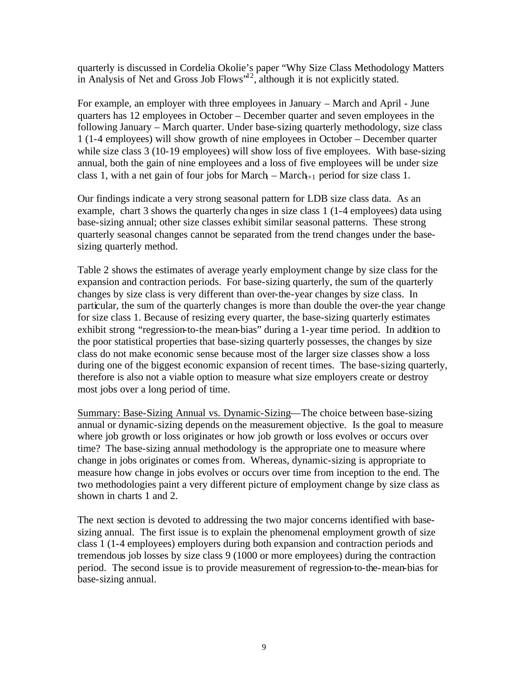quarterly is discussed in Cordelia Okolie's paper "Why Size Class Methodology Matters in Analysis of Net and Gross Job Flows" $12$ , although it is not explicitly stated.

For example, an employer with three employees in January – March and April - June quarters has 12 employees in October – December quarter and seven employees in the following January – March quarter. Under base-sizing quarterly methodology, size class 1 (1-4 employees) will show growth of nine employees in October – December quarter while size class 3 (10-19 employees) will show loss of five employees. With base-sizing annual, both the gain of nine employees and a loss of five employees will be under size class 1, with a net gain of four jobs for March $_+$ – March $_{t+1}$  period for size class 1.

Our findings indicate a very strong seasonal pattern for LDB size class data. As an example, chart 3 shows the quarterly changes in size class 1 (1-4 employees) data using base-sizing annual; other size classes exhibit similar seasonal patterns. These strong quarterly seasonal changes cannot be separated from the trend changes under the basesizing quarterly method.

Table 2 shows the estimates of average yearly employment change by size class for the expansion and contraction periods. For base-sizing quarterly, the sum of the quarterly changes by size class is very different than over-the-year changes by size class. In particular, the sum of the quarterly changes is more than double the over-the year change for size class 1. Because of resizing every quarter, the base-sizing quarterly estimates exhibit strong "regression-to-the mean-bias" during a 1-year time period. In addition to the poor statistical properties that base-sizing quarterly possesses, the changes by size class do not make economic sense because most of the larger size classes show a loss during one of the biggest economic expansion of recent times. The base-sizing quarterly, therefore is also not a viable option to measure what size employers create or destroy most jobs over a long period of time.

Summary: Base-Sizing Annual vs. Dynamic-Sizing—The choice between base-sizing annual or dynamic-sizing depends on the measurement objective. Is the goal to measure where job growth or loss originates or how job growth or loss evolves or occurs over time? The base-sizing annual methodology is the appropriate one to measure where change in jobs originates or comes from. Whereas, dynamic-sizing is appropriate to measure how change in jobs evolves or occurs over time from inception to the end. The two methodologies paint a very different picture of employment change by size class as shown in charts 1 and 2.

The next section is devoted to addressing the two major concerns identified with basesizing annual. The first issue is to explain the phenomenal employment growth of size class 1 (1-4 employees) employers during both expansion and contraction periods and tremendous job losses by size class 9 (1000 or more employees) during the contraction period. The second issue is to provide measurement of regression-to-the-mean-bias for base-sizing annual.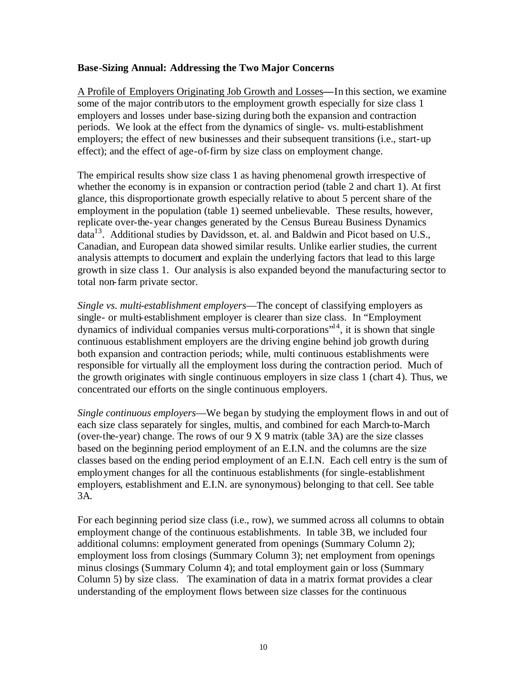### **Base-Sizing Annual: Addressing the Two Major Concerns**

A Profile of Employers Originating Job Growth and Losses**—**In this section, we examine some of the major contributors to the employment growth especially for size class 1 employers and losses under base-sizing during both the expansion and contraction periods. We look at the effect from the dynamics of single- vs. multi-establishment employers; the effect of new businesses and their subsequent transitions (i.e., start-up effect); and the effect of age-of-firm by size class on employment change.

The empirical results show size class 1 as having phenomenal growth irrespective of whether the economy is in expansion or contraction period (table 2 and chart 1). At first glance, this disproportionate growth especially relative to about 5 percent share of the employment in the population (table 1) seemed unbelievable. These results, however, replicate over-the-year changes generated by the Census Bureau Business Dynamics data<sup>13</sup>. Additional studies by Davidsson, et. al. and Baldwin and Picot based on U.S., Canadian, and European data showed similar results. Unlike earlier studies, the current analysis attempts to document and explain the underlying factors that lead to this large growth in size class 1. Our analysis is also expanded beyond the manufacturing sector to total non-farm private sector.

*Single vs. multi-establishment employers*—The concept of classifying employers as single- or multi-establishment employer is clearer than size class. In "Employment dynamics of individual companies versus multi-corporations<sup> $14$ </sup>, it is shown that single continuous establishment employers are the driving engine behind job growth during both expansion and contraction periods; while, multi continuous establishments were responsible for virtually all the employment loss during the contraction period. Much of the growth originates with single continuous employers in size class 1 (chart 4). Thus, we concentrated our efforts on the single continuous employers.

*Single continuous employers*—We began by studying the employment flows in and out of each size class separately for singles, multis, and combined for each March-to-March (over-the-year) change. The rows of our 9 X 9 matrix (table 3A) are the size classes based on the beginning period employment of an E.I.N. and the columns are the size classes based on the ending period employment of an E.I.N. Each cell entry is the sum of employment changes for all the continuous establishments (for single-establishment employers, establishment and E.I.N. are synonymous) belonging to that cell. See table 3A.

For each beginning period size class (i.e., row), we summed across all columns to obtain employment change of the continuous establishments. In table 3B, we included four additional columns: employment generated from openings (Summary Column 2); employment loss from closings (Summary Column 3); net employment from openings minus closings (Summary Column 4); and total employment gain or loss (Summary Column 5) by size class. The examination of data in a matrix format provides a clear understanding of the employment flows between size classes for the continuous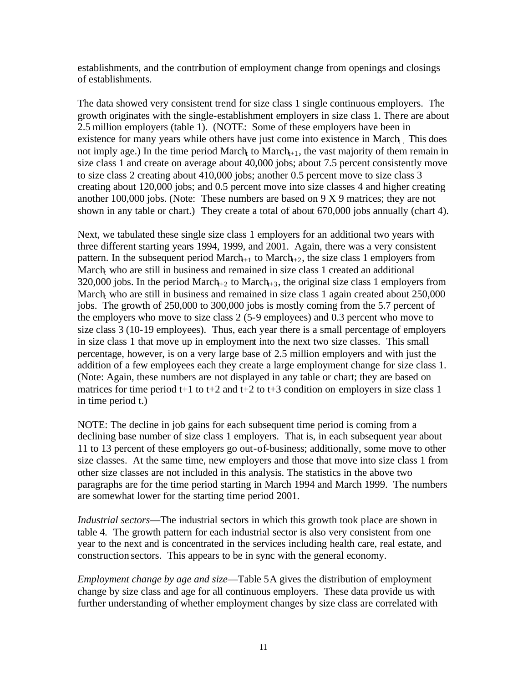establishments, and the contribution of employment change from openings and closings of establishments.

The data showed very consistent trend for size class 1 single continuous employers. The growth originates with the single-establishment employers in size class 1. There are about 2.5 million employers (table 1). (NOTE: Some of these employers have been in existence for many years while others have just come into existence in March. This does not imply age.) In the time period March to March $t_{+1}$ , the vast majority of them remain in size class 1 and create on average about 40,000 jobs; about 7.5 percent consistently move to size class 2 creating about 410,000 jobs; another 0.5 percent move to size class 3 creating about 120,000 jobs; and 0.5 percent move into size classes 4 and higher creating another 100,000 jobs. (Note: These numbers are based on 9 X 9 matrices; they are not shown in any table or chart.) They create a total of about 670,000 jobs annually (chart 4).

Next, we tabulated these single size class 1 employers for an additional two years with three different starting years 1994, 1999, and 2001. Again, there was a very consistent pattern. In the subsequent period March<sub>+1</sub> to March<sub>+2</sub>, the size class 1 employers from March<sub>t</sub> who are still in business and remained in size class 1 created an additional 320,000 jobs. In the period March<sub>+2</sub> to March<sub>+3</sub>, the original size class 1 employers from March who are still in business and remained in size class 1 again created about 250,000 jobs. The growth of 250,000 to 300,000 jobs is mostly coming from the 5.7 percent of the employers who move to size class 2 (5-9 employees) and 0.3 percent who move to size class 3 (10-19 employees). Thus, each year there is a small percentage of employers in size class 1 that move up in employment into the next two size classes. This small percentage, however, is on a very large base of 2.5 million employers and with just the addition of a few employees each they create a large employment change for size class 1. (Note: Again, these numbers are not displayed in any table or chart; they are based on matrices for time period t+1 to t+2 and t+2 to t+3 condition on employers in size class 1 in time period t.)

NOTE: The decline in job gains for each subsequent time period is coming from a declining base number of size class 1 employers. That is, in each subsequent year about 11 to 13 percent of these employers go out-of-business; additionally, some move to other size classes. At the same time, new employers and those that move into size class 1 from other size classes are not included in this analysis. The statistics in the above two paragraphs are for the time period starting in March 1994 and March 1999. The numbers are somewhat lower for the starting time period 2001.

*Industrial sectors*—The industrial sectors in which this growth took place are shown in table 4. The growth pattern for each industrial sector is also very consistent from one year to the next and is concentrated in the services including health care, real estate, and construction sectors. This appears to be in sync with the general economy.

*Employment change by age and size*—Table 5A gives the distribution of employment change by size class and age for all continuous employers. These data provide us with further understanding of whether employment changes by size class are correlated with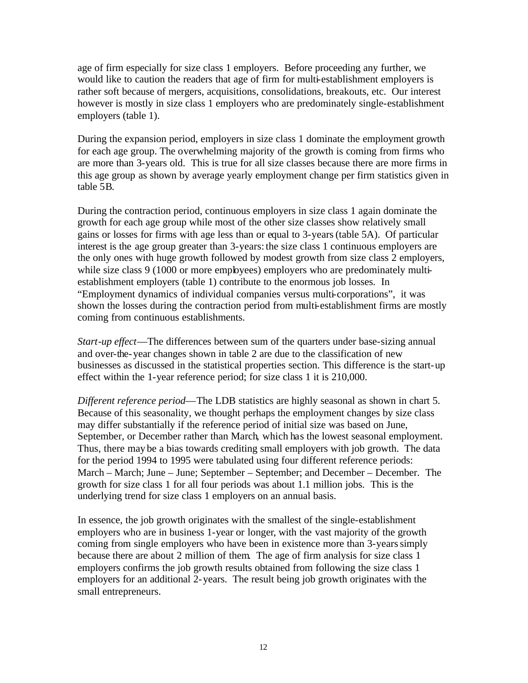age of firm especially for size class 1 employers. Before proceeding any further, we would like to caution the readers that age of firm for multi-establishment employers is rather soft because of mergers, acquisitions, consolidations, breakouts, etc. Our interest however is mostly in size class 1 employers who are predominately single-establishment employers (table 1).

During the expansion period, employers in size class 1 dominate the employment growth for each age group. The overwhelming majority of the growth is coming from firms who are more than 3-years old. This is true for all size classes because there are more firms in this age group as shown by average yearly employment change per firm statistics given in table 5B.

During the contraction period, continuous employers in size class 1 again dominate the growth for each age group while most of the other size classes show relatively small gains or losses for firms with age less than or equal to 3-years (table 5A). Of particular interest is the age group greater than 3-years: the size class 1 continuous employers are the only ones with huge growth followed by modest growth from size class 2 employers, while size class 9 (1000 or more employees) employers who are predominately multiestablishment employers (table 1) contribute to the enormous job losses. In "Employment dynamics of individual companies versus multi-corporations", it was shown the losses during the contraction period from multi-establishment firms are mostly coming from continuous establishments.

*Start-up effect*—The differences between sum of the quarters under base-sizing annual and over-the-year changes shown in table 2 are due to the classification of new businesses as discussed in the statistical properties section. This difference is the start-up effect within the 1-year reference period; for size class 1 it is 210,000.

*Different reference period*—The LDB statistics are highly seasonal as shown in chart 5. Because of this seasonality, we thought perhaps the employment changes by size class may differ substantially if the reference period of initial size was based on June, September, or December rather than March, which has the lowest seasonal employment. Thus, there may be a bias towards crediting small employers with job growth. The data for the period 1994 to 1995 were tabulated using four different reference periods: March – March; June – June; September – September; and December – December. The growth for size class 1 for all four periods was about 1.1 million jobs. This is the underlying trend for size class 1 employers on an annual basis.

In essence, the job growth originates with the smallest of the single-establishment employers who are in business 1-year or longer, with the vast majority of the growth coming from single employers who have been in existence more than 3-years simply because there are about 2 million of them. The age of firm analysis for size class 1 employers confirms the job growth results obtained from following the size class 1 employers for an additional 2-years. The result being job growth originates with the small entrepreneurs.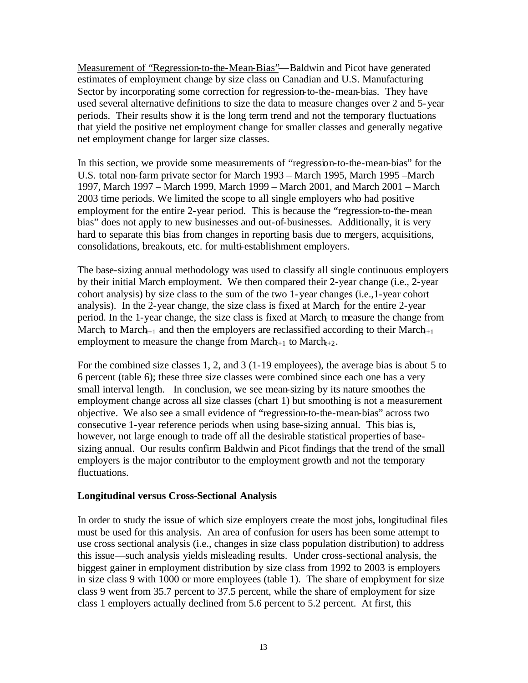Measurement of "Regression-to-the-Mean-Bias"—Baldwin and Picot have generated estimates of employment change by size class on Canadian and U.S. Manufacturing Sector by incorporating some correction for regression-to-the-mean-bias. They have used several alternative definitions to size the data to measure changes over 2 and 5-year periods. Their results show it is the long term trend and not the temporary fluctuations that yield the positive net employment change for smaller classes and generally negative net employment change for larger size classes.

In this section, we provide some measurements of "regression-to-the-mean-bias" for the U.S. total non-farm private sector for March 1993 – March 1995, March 1995 –March 1997, March 1997 – March 1999, March 1999 – March 2001, and March 2001 – March 2003 time periods. We limited the scope to all single employers who had positive employment for the entire 2-year period. This is because the "regression-to-the-mean bias" does not apply to new businesses and out-of-businesses. Additionally, it is very hard to separate this bias from changes in reporting basis due to mergers, acquisitions, consolidations, breakouts, etc. for multi-establishment employers.

The base-sizing annual methodology was used to classify all single continuous employers by their initial March employment. We then compared their 2-year change (i.e., 2-year cohort analysis) by size class to the sum of the two 1-year changes (i.e.,1-year cohort analysis). In the 2-year change, the size class is fixed at March for the entire 2-year period. In the 1-year change, the size class is fixed at March to measure the change from March to March<sub>+1</sub> and then the employers are reclassified according to their March<sub>+1</sub> employment to measure the change from  $March_{t+1}$  to  $March_{t+2}$ .

For the combined size classes 1, 2, and 3 (1-19 employees), the average bias is about 5 to 6 percent (table 6); these three size classes were combined since each one has a very small interval length. In conclusion, we see mean-sizing by its nature smoothes the employment change across all size classes (chart 1) but smoothing is not a measurement objective. We also see a small evidence of "regression-to-the-mean-bias" across two consecutive 1-year reference periods when using base-sizing annual. This bias is, however, not large enough to trade off all the desirable statistical properties of basesizing annual. Our results confirm Baldwin and Picot findings that the trend of the small employers is the major contributor to the employment growth and not the temporary fluctuations.

## **Longitudinal versus Cross-Sectional Analysis**

In order to study the issue of which size employers create the most jobs, longitudinal files must be used for this analysis. An area of confusion for users has been some attempt to use cross sectional analysis (i.e., changes in size class population distribution) to address this issue—such analysis yields misleading results. Under cross-sectional analysis, the biggest gainer in employment distribution by size class from 1992 to 2003 is employers in size class 9 with 1000 or more employees (table 1). The share of employment for size class 9 went from 35.7 percent to 37.5 percent, while the share of employment for size class 1 employers actually declined from 5.6 percent to 5.2 percent. At first, this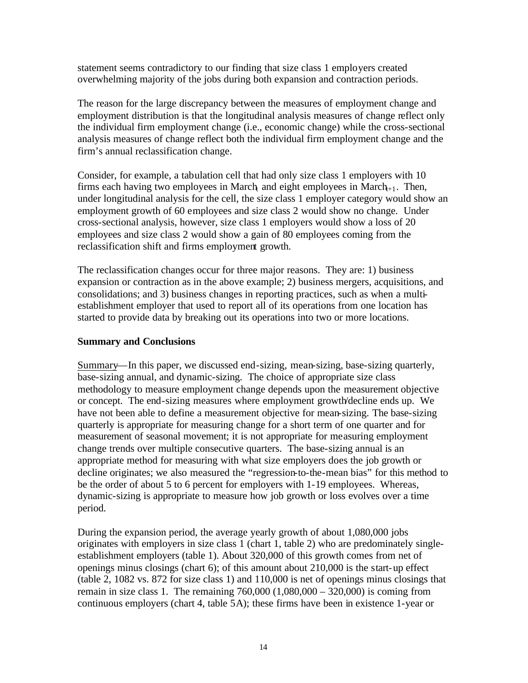statement seems contradictory to our finding that size class 1 employers created overwhelming majority of the jobs during both expansion and contraction periods.

The reason for the large discrepancy between the measures of employment change and employment distribution is that the longitudinal analysis measures of change reflect only the individual firm employment change (i.e., economic change) while the cross-sectional analysis measures of change reflect both the individual firm employment change and the firm's annual reclassification change.

Consider, for example, a tabulation cell that had only size class 1 employers with 10 firms each having two employees in March and eight employees in March $+1$ . Then, under longitudinal analysis for the cell, the size class 1 employer category would show an employment growth of 60 employees and size class 2 would show no change. Under cross-sectional analysis, however, size class 1 employers would show a loss of 20 employees and size class 2 would show a gain of 80 employees coming from the reclassification shift and firms employment growth.

The reclassification changes occur for three major reasons. They are: 1) business expansion or contraction as in the above example; 2) business mergers, acquisitions, and consolidations; and 3) business changes in reporting practices, such as when a multiestablishment employer that used to report all of its operations from one location has started to provide data by breaking out its operations into two or more locations.

## **Summary and Conclusions**

Summary—In this paper, we discussed end-sizing, mean-sizing, base-sizing quarterly, base-sizing annual, and dynamic-sizing. The choice of appropriate size class methodology to measure employment change depends upon the measurement objective or concept. The end-sizing measures where employment growth/decline ends up. We have not been able to define a measurement objective for mean-sizing. The base-sizing quarterly is appropriate for measuring change for a short term of one quarter and for measurement of seasonal movement; it is not appropriate for measuring employment change trends over multiple consecutive quarters. The base-sizing annual is an appropriate method for measuring with what size employers does the job growth or decline originates; we also measured the "regression-to-the-mean bias" for this method to be the order of about 5 to 6 percent for employers with 1-19 employees. Whereas, dynamic-sizing is appropriate to measure how job growth or loss evolves over a time period.

During the expansion period, the average yearly growth of about 1,080,000 jobs originates with employers in size class 1 (chart 1, table 2) who are predominately singleestablishment employers (table 1). About 320,000 of this growth comes from net of openings minus closings (chart 6); of this amount about 210,000 is the start-up effect (table 2, 1082 vs. 872 for size class 1) and 110,000 is net of openings minus closings that remain in size class 1. The remaining  $760,000 (1,080,000 - 320,000)$  is coming from continuous employers (chart 4, table 5A); these firms have been in existence 1-year or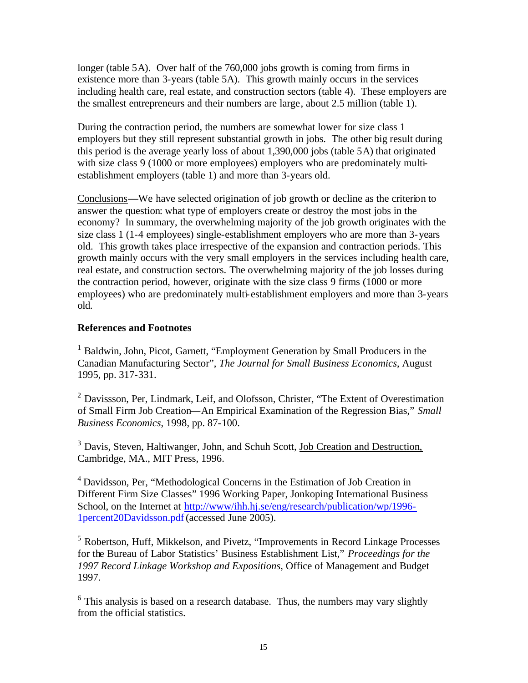longer (table 5A). Over half of the 760,000 jobs growth is coming from firms in existence more than 3-years (table 5A). This growth mainly occurs in the services including health care, real estate, and construction sectors (table 4). These employers are the smallest entrepreneurs and their numbers are large, about 2.5 million (table 1).

During the contraction period, the numbers are somewhat lower for size class 1 employers but they still represent substantial growth in jobs. The other big result during this period is the average yearly loss of about 1,390,000 jobs (table 5A) that originated with size class 9 (1000 or more employees) employers who are predominately multiestablishment employers (table 1) and more than 3-years old.

Conclusions**—**We have selected origination of job growth or decline as the criterion to answer the question: what type of employers create or destroy the most jobs in the economy? In summary, the overwhelming majority of the job growth originates with the size class 1 (1-4 employees) single-establishment employers who are more than 3-years old. This growth takes place irrespective of the expansion and contraction periods. This growth mainly occurs with the very small employers in the services including health care, real estate, and construction sectors. The overwhelming majority of the job losses during the contraction period, however, originate with the size class 9 firms (1000 or more employees) who are predominately multi-establishment employers and more than 3-years old.

## **References and Footnotes**

<sup>1</sup> Baldwin, John, Picot, Garnett, "Employment Generation by Small Producers in the Canadian Manufacturing Sector", *The Journal for Small Business Economics*, August 1995, pp. 317-331.

<sup>2</sup> Davissson, Per, Lindmark, Leif, and Olofsson, Christer, "The Extent of Overestimation of Small Firm Job Creation—An Empirical Examination of the Regression Bias," *Small Business Economics*, 1998, pp. 87-100.

<sup>3</sup> Davis, Steven, Haltiwanger, John, and Schuh Scott, Job Creation and Destruction, Cambridge, MA., MIT Press, 1996.

<sup>4</sup> Davidsson, Per, "Methodological Concerns in the Estimation of Job Creation in Different Firm Size Classes" 1996 Working Paper, Jonkoping International Business School, on the Internet at http://www/ihh.hj.se/eng/research/publication/wp/1996-1percent20Davidsson.pdf (accessed June 2005).

<sup>5</sup> Robertson, Huff, Mikkelson, and Pivetz, "Improvements in Record Linkage Processes for the Bureau of Labor Statistics' Business Establishment List," *Proceedings for the 1997 Record Linkage Workshop and Expositions*, Office of Management and Budget 1997.

 $6$  This analysis is based on a research database. Thus, the numbers may vary slightly from the official statistics.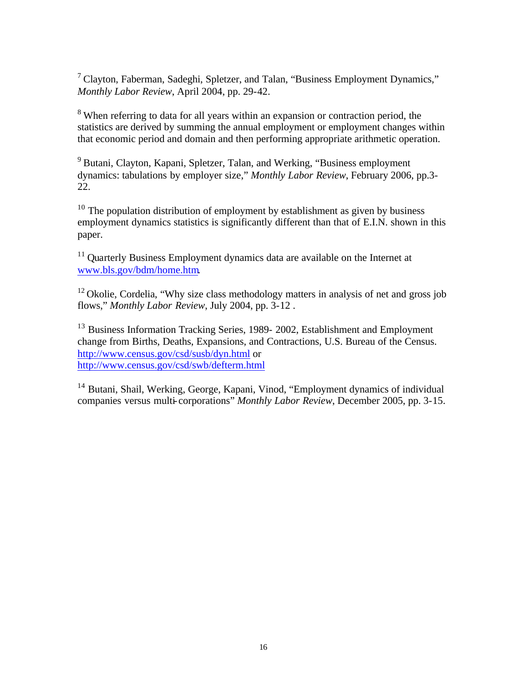$<sup>7</sup>$  Clayton, Faberman, Sadeghi, Spletzer, and Talan, "Business Employment Dynamics,"</sup> *Monthly Labor Review*, April 2004, pp. 29-42.

<sup>8</sup> When referring to data for all years within an expansion or contraction period, the statistics are derived by summing the annual employment or employment changes within that economic period and domain and then performing appropriate arithmetic operation.

<sup>9</sup> Butani, Clayton, Kapani, Spletzer, Talan, and Werking, "Business employment" dynamics: tabulations by employer size," *Monthly Labor Review*, February 2006, pp.3- 22.

 $10$  The population distribution of employment by establishment as given by business employment dynamics statistics is significantly different than that of E.I.N. shown in this paper.

<sup>11</sup> Quarterly Business Employment dynamics data are available on the Internet at www.bls.gov/bdm/home.htm.

 $12$  Okolie, Cordelia, "Why size class methodology matters in analysis of net and gross job flows," *Monthly Labor Review*, July 2004, pp. 3-12 .

<sup>13</sup> Business Information Tracking Series, 1989- 2002, Establishment and Employment change from Births, Deaths, Expansions, and Contractions, U.S. Bureau of the Census. http://www.census.gov/csd/susb/dyn.html or http://www.census.gov/csd/swb/defterm.html

<sup>14</sup> Butani, Shail, Werking, George, Kapani, Vinod, "Employment dynamics of individual companies versus multi-corporations" *Monthly Labor Review*, December 2005, pp. 3-15.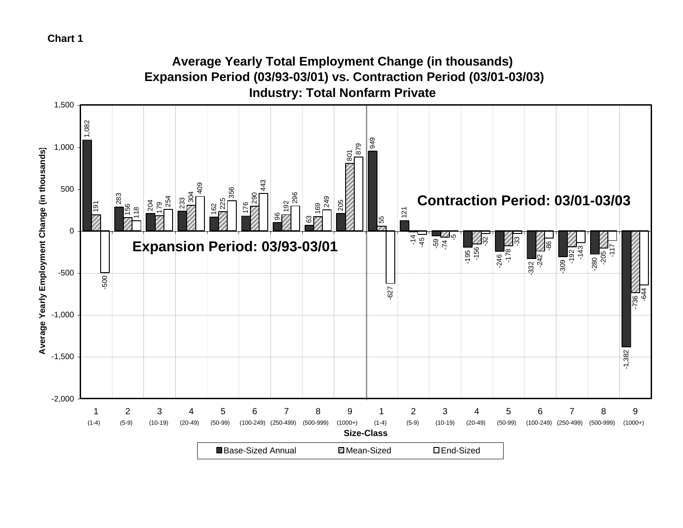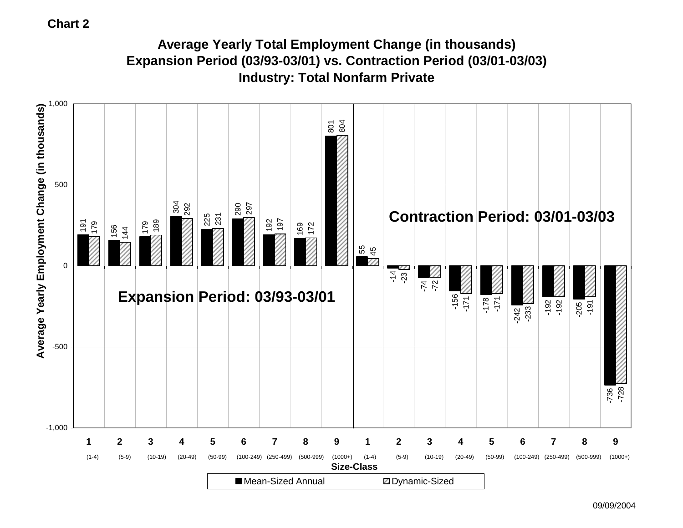# **Average Yearly Total Employment Change (in thousands) Expansion Period (03/93-03/01) vs. Contraction Period (03/01-03/03) Industry: Total Nonfarm Private**

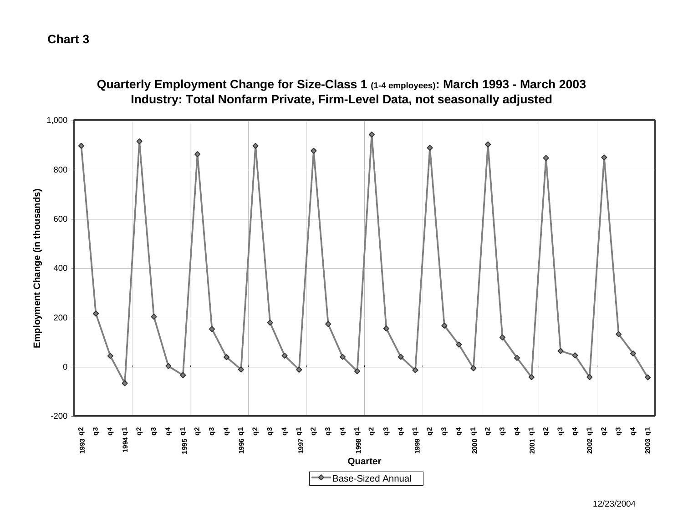

## 12/23/2004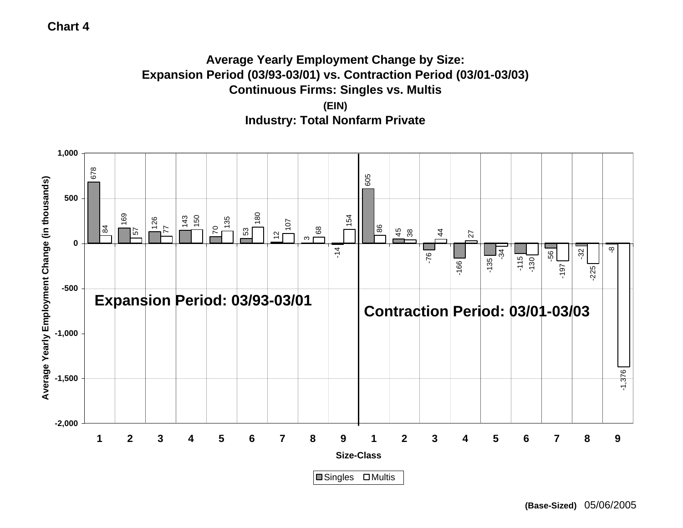# **Average Yearly Employment Change by Size: Expansion Period (03/93-03/01) vs. Contraction Period (03/01-03/03) Continuous Firms: Singles vs. Multis (EIN) Industry: Total Nonfarm Private**

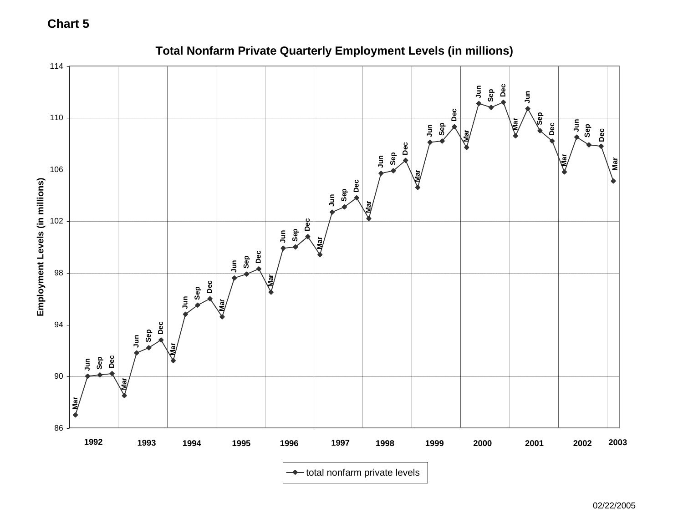

# **Total Nonfarm Private Quarterly Employment Levels (in millions)**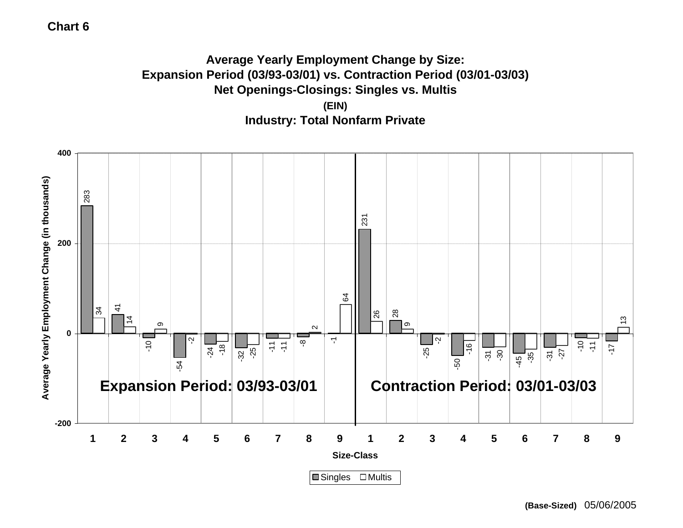# **Average Yearly Employment Change by Size: Expansion Period (03/93-03/01) vs. Contraction Period (03/01-03/03) Net Openings-Closings: Singles vs. Multis (EIN) Industry: Total Nonfarm Private**



**(Base-Sized)** 05/06/2005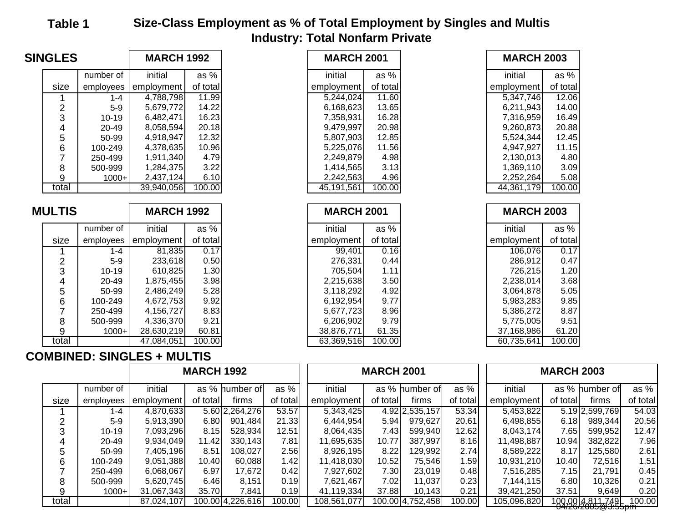# **Table 1 Size-Class Employment as % of Total Employment by Singles and Multis Industry: Total Nonfarm Private**

| <b>SINGLES</b>          |           | <b>MARCH 1992</b>    |              | <b>MARCH 2001</b> |          | <b>MARCH 2003</b> |          |
|-------------------------|-----------|----------------------|--------------|-------------------|----------|-------------------|----------|
|                         | number of | initial              | as $%$       | initial           | as $%$   | initial           | as %     |
| size                    | employees | employment           | of total     | employment        | of total | employment        | of total |
|                         | $1 - 4$   | 4,788,798            | 11.99        | 5,244,024         | 11.60    | 5,347,746         | 12.06    |
| $\overline{\mathbf{c}}$ | $5-9$     | 5,679,772            | 14.22        | 6,168,623         | 13.65    | 6,211,943         | 14.00    |
| 3                       | $10 - 19$ | 6,482,471            | 16.23        | 7,358,931         | 16.28    | 7,316,959         | 16.49    |
| 4                       | 20-49     | 8,058,594            | 20.18        | 9,479,997         | 20.98    | 9,260,873         | 20.88    |
| 5                       | 50-99     | 4,918,947            | 12.32        | 5,807,903         | 12.85    | 5,524,344         | 12.45    |
| $\,6$                   | 100-249   | 4,378,635            | 10.96        | 5,225,076         | 11.56    | 4,947,927         | 11.15    |
| $\overline{7}$          | 250-499   | 1,911,340            | 4.79         | 2,249,879         | 4.98     | 2,130,013         | 4.80     |
| 8                       | 500-999   | 1,284,375            | 3.22         | 1,414,565         | 3.13     | 1,369,110         | 3.09     |
| 9                       | $1000+$   | 2,437,124            | 6.10         | 2,242,563         | 4.96     | 2,252,264         | 5.08     |
| total                   |           | 39,940,056           | 100.00       | 45,191,561        | 100.00   | 44,361,179        | 100.00   |
|                         |           |                      |              |                   |          |                   |          |
| <b>MULTIS</b>           |           | <b>MARCH 1992</b>    |              | <b>MARCH 2001</b> |          | <b>MARCH 2003</b> |          |
|                         | number of | initial              | as%          | initial           | as %     | initial           | as %     |
| size                    | employees | employment           |              | employment        |          | employment        |          |
|                         |           |                      | of total     |                   | of total |                   | of total |
|                         | $1 - 4$   |                      | 0.17         | 99,401            | 0.16     | 106,076           | 0.17     |
|                         | $5-9$     | 81,835<br>233,618    | 0.50         | 276,331           | 0.44     | 286,912           | 0.47     |
| $\overline{c}$          | $10 - 19$ |                      |              | 705,504           | 1.11     | 726,215           | 1.20     |
| 3                       | 20-49     | 610,825<br>1,875,455 | 1.30<br>3.98 | 2,215,638         | 3.50     | 2,238,014         | 3.68     |
| 4                       | 50-99     | 2,486,249            | 5.28         | 3,118,292         | 4.92     | 3,064,878         | 5.05     |
| 5<br>6                  | 100-249   | 4,672,753            | 9.92         | 6,192,954         | 9.77     | 5,983,283         | 9.85     |
| $\overline{7}$          | 250-499   | 4,156,727            | 8.83         | 5,677,723         | 8.96     | 5,386,272         | 8.87     |
| 8                       | 500-999   | 4,336,370            | 9.21         | 6,206,902         | 9.79     | 5,775,005         | 9.51     |
| 9<br>total              | $1000+$   | 28,630,219           | 60.81        | 38,876,771        | 61.35    | 37,168,986        | 61.20    |

|--|

|       | 250-499   | 4,156,727                       | 8.83              |                  |          | 5,677,723   | 8.96              |                  |          | 5,386,272   | 8.87              |                    |          |
|-------|-----------|---------------------------------|-------------------|------------------|----------|-------------|-------------------|------------------|----------|-------------|-------------------|--------------------|----------|
| 8     | 500-999   | 4,336,370                       | 9.21              |                  |          | 6,206,902   | 9.79              |                  |          | 5,775,005   | 9.51              |                    |          |
| 9     | $1000+$   | 28,630,219                      | 60.81             |                  |          | 38,876,771  | 61.35             |                  |          | 37,168,986  | 61.20             |                    |          |
| total |           | 47,084,051                      | 100.00            |                  |          | 63,369,516  | 100.00            |                  |          | 60,735,641  | 100.00            |                    |          |
|       |           | <b>IBINED: SINGLES + MULTIS</b> |                   |                  |          |             |                   |                  |          |             |                   |                    |          |
|       |           |                                 | <b>MARCH 1992</b> |                  |          |             | <b>MARCH 2001</b> |                  |          |             | <b>MARCH 2003</b> |                    |          |
|       | number of | initial                         |                   | as % humber of   | as $%$   | initial     |                   | as % humber of   | as %     | initial     |                   | as % humber of     | as %     |
| size  | employees | employment                      | of total          | firms            | of total | employment  | of total          | firms            | of total | employment  | of total          | firms              | of total |
|       | 1-4       | 4,870,633                       |                   | 5.60 2,264,276   | 53.57    | 5,343,425   |                   | 4.92 2,535,157   | 53.34    | 5,453,822   |                   | 5.19 2,599,769     | 54.03    |
| 2     | $5-9$     | 5,913,390                       | 6.80              | 901,484          | 21.33    | 6,444,954   | 5.94              | 979,627          | 20.61    | 6,498,855   | 6.18              | 989,344            | 20.56    |
| 3     | $10 - 19$ | 7,093,296                       | 8.15              | 528,934          | 12.51    | 8,064,435   | 7.43              | 599,940          | 12.62    | 8,043,174   | 7.65              | 599,952            | 12.47    |
| 4     | 20-49     | 9,934,049                       | 11.42             | 330,143          | 7.81     | 11,695,635  | 10.77             | 387,997          | 8.16     | 11,498,887  | 10.94             | 382,822            | 7.96     |
| 5     | 50-99     | 7,405,196                       | 8.51              | 108,027          | 2.56     | 8,926,195   | 8.22              | 129,992          | 2.74     | 8,589,222   | 8.17              | 125,580            | 2.61     |
| 6     | 100-249   | 9,051,388                       | 10.40             | 60,088           | 1.42     | 11,418,030  | 10.52             | 75,546           | 1.59     | 10,931,210  | 10.40             | 72,516             | 1.51     |
|       | 250-499   | 6,068,067                       | 6.97              | 17,672           | 0.42     | 7,927,602   | 7.30              | 23,019           | 0.48     | 7,516,285   | 7.15              | 21,791             | 0.45     |
| 8     | 500-999   | 5,620,745                       | 6.46              | 8,151            | 0.19     | 7,621,467   | 7.02              | 11,037           | 0.23     | 7,144,115   | 6.80              | 10,326             | 0.21     |
| 9     | $1000+$   | 31,067,343                      | 35.70             | 7,841            | 0.19     | 41,119,334  | 37.88             | 10,143           | 0.21     | 39,421,250  | 37.51             | 9,649              | 0.20     |
| total |           | 87,024,107                      |                   | 100.00 4,226,616 | 100.00   | 108,561,077 |                   | 100.00 4,752,458 | 100.00   | 105,096,820 |                   | 100.00 4.811.749 L | 100.00   |

<u>100,0014,811,495</u>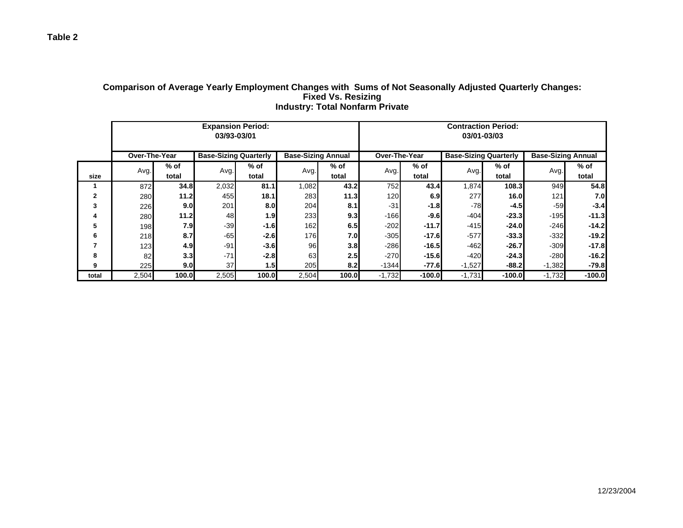|              |                  |                  | <b>Expansion Period:</b><br>03/93-03/01 |        |                           |        |                  |          | <b>Contraction Period:</b><br>03/01-03/03 |          |                           |          |
|--------------|------------------|------------------|-----------------------------------------|--------|---------------------------|--------|------------------|----------|-------------------------------------------|----------|---------------------------|----------|
|              | Over-The-Year    |                  | <b>Base-Sizing Quarterly</b>            |        | <b>Base-Sizing Annual</b> |        | Over-The-Year    |          | <b>Base-Sizing Quarterly</b>              |          | <b>Base-Sizing Annual</b> |          |
|              | Avg.             | $%$ of           | Avg.                                    | % of   | Avg.                      | $%$ of | Avg.             | $%$ of   | Avg.                                      | % of     | Avg.                      | $%$ of   |
| size         |                  | total            |                                         | total  |                           | total  |                  | total    |                                           | total    |                           | total    |
| 1            | 872              | 34.8             | 2,032                                   | 81.1   | 1,082                     | 43.2   | 752              | 43.4     | 1,874                                     | 108.3    | 949                       | 54.8     |
| $\mathbf{2}$ | 280              | 11.2             | 455                                     | 18.1   | 283                       | 11.3   | 120 <sup>1</sup> | 6.9      | 277                                       | 16.0     | 121                       | 7.0      |
| 3            | 226              | 9.0              | 201                                     | 8.0    | 204                       | 8.1    | $-31$            | $-1.8$   | $-78$                                     | $-4.5$   | $-59$                     | $-3.4$   |
| 4            | 280              | 11.2             | 48                                      | 1.9    | 233                       | 9.3    | $-166$           | $-9.6$   | $-404$                                    | $-23.3$  | $-195$                    | $-11.3$  |
| 5            | 198 <sup>l</sup> | 7.9              | $-39$                                   | -1.61  | 162                       | 6.5    | $-202$           | $-11.7$  | $-415$                                    | $-24.0$  | $-246$                    | $-14.2$  |
| 6            | 218              | 8.7              | $-65$                                   | $-2.6$ | 176                       | 7.0    | $-305$           | $-17.6$  | $-577$                                    | $-33.3$  | $-332$                    | $-19.2$  |
| 7            | 123              | 4.9              | $-91$                                   | $-3.6$ | 96                        | 3.8    | $-286$           | $-16.5$  | $-462$                                    | $-26.7$  | $-309$                    | $-17.8$  |
| 8            | 82               | 3.3 <sub>l</sub> | $-71$                                   | $-2.8$ | 63                        | 2.5    | $-270$           | $-15.6$  | $-420$                                    | $-24.3$  | $-280$                    | $-16.2$  |
| 9            | 225              | 9.0              | 37                                      | 1.5    | 205                       | 8.2    | $-1344$          | $-77.6$  | $-1,527$                                  | $-88.2$  | $-1,382$                  | $-79.8$  |
| total        | 2,504            | 100.0            | 2,505                                   | 100.0  | 2,504                     | 100.0  | $-1,732$         | $-100.0$ | $-1,731$                                  | $-100.0$ | $-1,732$                  | $-100.0$ |

#### **Comparison of Average Yearly Employment Changes with Sums of Not Seasonally Adjusted Quarterly Changes: Fixed Vs. Resizing Industry: Total Nonfarm Private**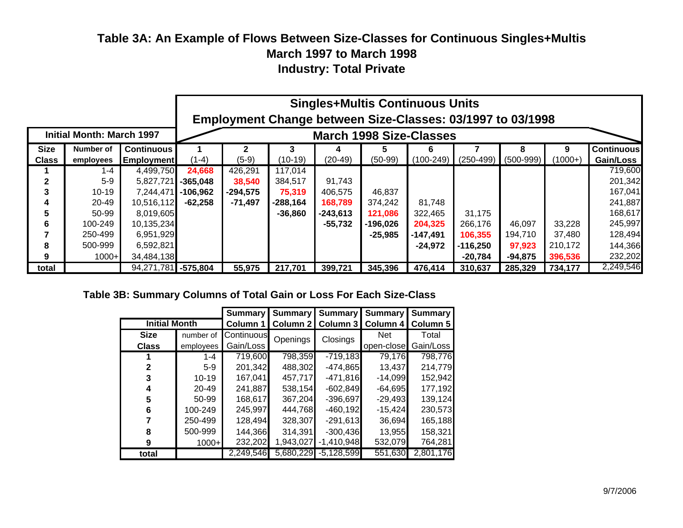# **Table 3A: An Example of Flows Between Size-Classes for Continuous Singles+Multis March 1997 to March 1998 Industry: Total Private**

|              |                                  |                     |            | <b>Singles+Multis Continuous Units</b>                     |            |           |           |             |             |             |           |                   |  |
|--------------|----------------------------------|---------------------|------------|------------------------------------------------------------|------------|-----------|-----------|-------------|-------------|-------------|-----------|-------------------|--|
|              |                                  |                     |            | Employment Change between Size-Classes: 03/1997 to 03/1998 |            |           |           |             |             |             |           |                   |  |
|              | <b>Initial Month: March 1997</b> |                     |            | <b>March 1998 Size-Classes</b>                             |            |           |           |             |             |             |           |                   |  |
| <b>Size</b>  | Number of                        | <b>Continuous</b>   |            | 2                                                          |            |           | 5         |             |             | 8           | 9         | <b>Continuous</b> |  |
| <b>Class</b> | employees                        | <b>Employment</b>   | $(1-4)$    | $(5-9)$                                                    | $(10-19)$  | $(20-49)$ | $(50-99)$ | $(100-249)$ | $(250-499)$ | $(500-999)$ | $(1000+)$ | Gain/Loss         |  |
|              | $1 - 4$                          | 4,499,750           | 24,668     | 426,291                                                    | 117,014    |           |           |             |             |             |           | 719,600           |  |
| 2            | $5-9$                            | 5,827,721           | $-365,048$ | 38,540                                                     | 384,517    | 91,743    |           |             |             |             |           | 201,342           |  |
| 3            | $10-19$                          | 7,244,471           | $-106,962$ | $-294,575$                                                 | 75,319     | 406,575   | 46,837    |             |             |             |           | 167,041           |  |
| 4            | 20-49                            | 10,516,112          | -62,258    | $-71,497$                                                  | $-288,164$ | 168,789   | 374,242   | 81,748      |             |             |           | 241,887           |  |
| 5            | 50-99                            | 8,019,605           |            |                                                            | $-36,860$  | -243,613  | 121,086   | 322,465     | 31,175      |             |           | 168,617           |  |
| 6            | 100-249                          | 10,135,234          |            |                                                            |            | $-55,732$ | -196,026  | 204,325     | 266,176     | 46,097      | 33,228    | 245,997           |  |
|              | 250-499                          | 6,951,929           |            |                                                            |            |           | $-25,985$ | $-147,491$  | 106,355     | 194,710     | 37,480    | 128,494           |  |
| 8            | 500-999                          | 6,592,821           |            |                                                            |            |           |           | $-24,972$   | $-116,250$  | 97,923      | 210,172   | 144,366           |  |
| 9            | $1000+$                          | 34,484,138          |            |                                                            |            |           |           |             | -20,784     | -94,875     | 396,536   | 232,202           |  |
| total        |                                  | 94,271,781 -575,804 |            | 55,975                                                     | 217,701    | 399,721   | 345,396   | 476,414     | 310,637     | 285,329     | 734,177   | 2,249,546         |  |

## **Table 3B: Summary Columns of Total Gain or Loss For Each Size-Class**

|                      |           |            | <b>Summary</b><br><b>Summary</b> | <b>Summary</b>    | <b>Summary</b> | <b>Summary</b> |
|----------------------|-----------|------------|----------------------------------|-------------------|----------------|----------------|
| <b>Initial Month</b> |           | Column 1   |                                  | Column 2 Column 3 | Column 4       | Column 5       |
| <b>Size</b>          | number of | Continuous | Openings                         | Closings          | <b>Net</b>     | Total          |
| <b>Class</b>         | employees | Gain/Loss  |                                  |                   | open-close     | Gain/Loss      |
|                      | $1 - 4$   | 719,600    | 798,359                          | $-719,183$        | 79,176         | 798,776        |
| 2                    | $5-9$     | 201,342    | 488,302                          | $-474,865$        | 13,437         | 214,779        |
|                      | $10 - 19$ | 167,041    | 457,717                          | $-471,816$        | $-14,099$      | 152,942        |
| 4                    | $20 - 49$ | 241,887    | 538,154                          | $-602,849$        | $-64,695$      | 177,192        |
| 5                    | 50-99     | 168,617    | 367,204                          | $-396,697$        | $-29,493$      | 139,124        |
| 6                    | 100-249   | 245,997    | 444,768                          | $-460,192$        | $-15,424$      | 230,573        |
|                      | 250-499   | 128,494    | 328,307                          | $-291,613$        | 36,694         | 165,188        |
| 8                    | 500-999   | 144,366    | 314,391                          | $-300,436$        | 13,955         | 158,321        |
| 9                    | $1000+$   | 232,202    | 1,943,027                        | $-1,410,948$      | 532,079        | 764,281        |
| total                |           | 2,249,546  | 5,680,229                        | $-5.128.599$      | 551,630        | 2,801,176      |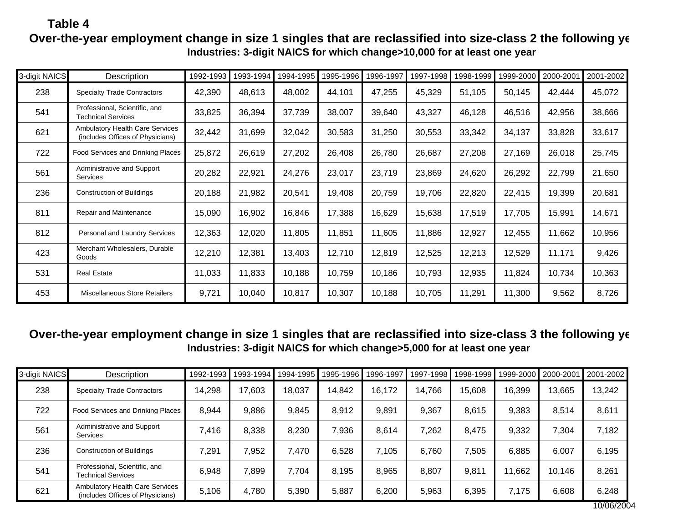## **Table 4 Over-the-year employment change in size 1 singles that are reclassified into size-class 2 the following year-Industries: 3-digit NAICS for which change>10,000 for at least one year**

| 3-digit NAICS | Description                                                                | 1992-1993 | 1993-1994 | 1994-1995 | 1995-1996 | 1996-1997 | 1997-1998 | 1998-1999 | 1999-2000 | 2000-2001 | 2001-2002 |
|---------------|----------------------------------------------------------------------------|-----------|-----------|-----------|-----------|-----------|-----------|-----------|-----------|-----------|-----------|
| 238           | <b>Specialty Trade Contractors</b>                                         | 42,390    | 48,613    | 48,002    | 44,101    | 47,255    | 45,329    | 51,105    | 50,145    | 42,444    | 45,072    |
| 541           | Professional, Scientific, and<br><b>Technical Services</b>                 | 33,825    | 36,394    | 37,739    | 38,007    | 39,640    | 43,327    | 46,128    | 46,516    | 42,956    | 38,666    |
| 621           | <b>Ambulatory Health Care Services</b><br>(includes Offices of Physicians) | 32,442    | 31,699    | 32,042    | 30,583    | 31,250    | 30,553    | 33,342    | 34,137    | 33,828    | 33,617    |
| 722           | Food Services and Drinking Places                                          | 25,872    | 26,619    | 27,202    | 26,408    | 26,780    | 26,687    | 27,208    | 27,169    | 26,018    | 25,745    |
| 561           | Administrative and Support<br>Services                                     | 20,282    | 22,921    | 24,276    | 23,017    | 23,719    | 23,869    | 24,620    | 26,292    | 22,799    | 21,650    |
| 236           | <b>Construction of Buildings</b>                                           | 20,188    | 21,982    | 20,541    | 19,408    | 20,759    | 19,706    | 22,820    | 22,415    | 19,399    | 20,681    |
| 811           | Repair and Maintenance                                                     | 15,090    | 16,902    | 16,846    | 17,388    | 16,629    | 15,638    | 17,519    | 17,705    | 15,991    | 14,671    |
| 812           | Personal and Laundry Services                                              | 12,363    | 12,020    | 11,805    | 11,851    | 11,605    | 11,886    | 12,927    | 12,455    | 11,662    | 10,956    |
| 423           | Merchant Wholesalers, Durable<br>Goods                                     | 12,210    | 12,381    | 13,403    | 12,710    | 12,819    | 12,525    | 12,213    | 12,529    | 11,171    | 9,426     |
| 531           | <b>Real Estate</b>                                                         | 11,033    | 11,833    | 10,188    | 10,759    | 10,186    | 10,793    | 12,935    | 11,824    | 10,734    | 10,363    |
| 453           | Miscellaneous Store Retailers                                              | 9,721     | 10,040    | 10,817    | 10,307    | 10,188    | 10,705    | 11,291    | 11,300    | 9,562     | 8,726     |

## **Over-the-year employment change in size 1 singles that are reclassified into size-class 3 the following year-Industries: 3-digit NAICS for which change>5,000 for at least one year**

| 3-digit NAICS | Description                                                                | 1992-1993 | 1993-1994 | 1994-1995 | 1995-1996 | 1996-1997 | 1997-1998 | 1998-1999 | 1999-2000 2000-2001 |        | 2001-2002 |
|---------------|----------------------------------------------------------------------------|-----------|-----------|-----------|-----------|-----------|-----------|-----------|---------------------|--------|-----------|
| 238           | <b>Specialty Trade Contractors</b>                                         | 14,298    | 17,603    | 18,037    | 14,842    | 16,172    | 14,766    | 15,608    | 16,399              | 13,665 | 13,242    |
| 722           | Food Services and Drinking Places                                          | 8,944     | 9,886     | 9,845     | 8,912     | 9,891     | 9,367     | 8,615     | 9,383               | 8,514  | 8,611     |
| 561           | Administrative and Support<br><b>Services</b>                              | 7,416     | 8,338     | 8,230     | 7,936     | 8,614     | 7,262     | 8,475     | 9,332               | 7,304  | 7,182     |
| 236           | <b>Construction of Buildings</b>                                           | 7,291     | 7,952     | 7,470     | 6,528     | 7,105     | 6,760     | 7,505     | 6,885               | 6,007  | 6,195     |
| 541           | Professional, Scientific, and<br><b>Technical Services</b>                 | 6,948     | 7,899     | 7,704     | 8,195     | 8,965     | 8,807     | 9,811     | 11,662              | 10,146 | 8,261     |
| 621           | <b>Ambulatory Health Care Services</b><br>(includes Offices of Physicians) | 5,106     | 4,780     | 5,390     | 5,887     | 6,200     | 5,963     | 6,395     | 7,175               | 6,608  | 6,248     |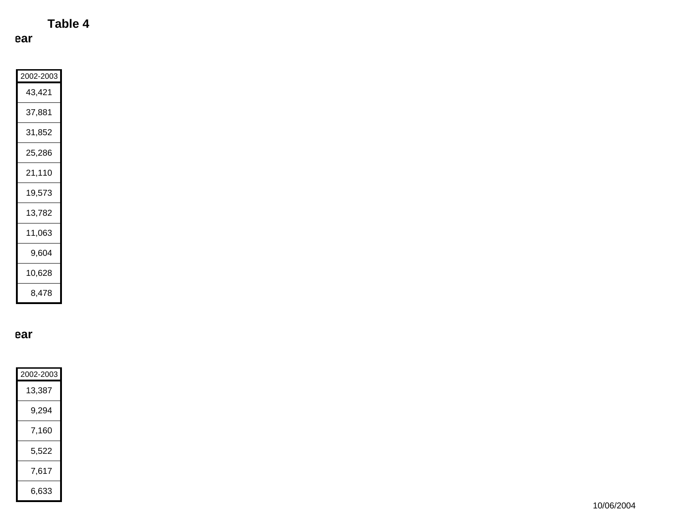**Table 4**

**ear** 

| 2002-2003 |
|-----------|
| 43,421    |
| 37.881    |
| 31,852    |
| 25,286    |
| 21,110    |
| 19,573    |
| 13,782    |
| 11,063    |
| 9,604     |
| 10,628    |
| 8.478     |

**ear** 

| 2002-2003 |
|-----------|
| 13,387    |
| 9,294     |
| 7,160     |
| 5,522     |
| 7,617     |
| 6,633     |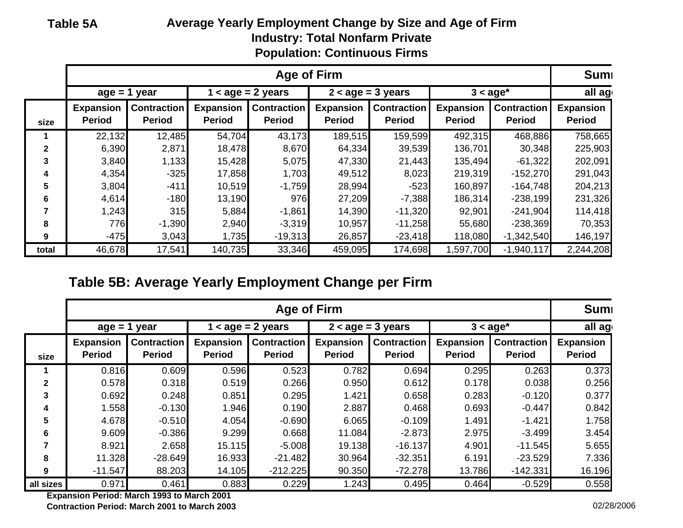| Table 5A | Average Yearly Employment Change by Size and Age of Firm |
|----------|----------------------------------------------------------|
|          | <b>Industry: Total Nonfarm Private</b>                   |
|          | <b>Population: Continuous Firms</b>                      |

|              | Age of Firm                                                                            |                                     |                                   |                                     |                            |                                     | <b>Sumi</b>                       |                                     |                                   |
|--------------|----------------------------------------------------------------------------------------|-------------------------------------|-----------------------------------|-------------------------------------|----------------------------|-------------------------------------|-----------------------------------|-------------------------------------|-----------------------------------|
|              | $1 <$ age = 2 years<br>$2 < age = 3 years$<br>$age = 1 year$<br>$3 <$ age <sup>*</sup> |                                     |                                   |                                     |                            | all ag                              |                                   |                                     |                                   |
| size         | <b>Expansion</b><br><b>Period</b>                                                      | <b>Contraction</b><br><b>Period</b> | <b>Expansion</b><br><b>Period</b> | <b>Contraction</b><br><b>Period</b> | Expansion<br><b>Period</b> | <b>Contraction</b><br><b>Period</b> | <b>Expansion</b><br><b>Period</b> | <b>Contraction</b><br><b>Period</b> | <b>Expansion</b><br><b>Period</b> |
|              | 22,132                                                                                 | 12,485                              | 54,704                            | 43,173                              | 189,515                    | 159,599                             | 492,315                           | 468,886                             | 758,665                           |
| $\mathbf{2}$ | 6,390                                                                                  | 2,871                               | 18,478                            | 8,670                               | 64,334                     | 39,539                              | 136,701                           | 30,348                              | 225,903                           |
| 3            | 3,840                                                                                  | 1,133                               | 15,428                            | 5,075                               | 47,330                     | 21,443                              | 135,494                           | $-61,322$                           | 202,091                           |
| 4            | 4,354                                                                                  | $-325$                              | 17,858                            | 1,703                               | 49,512                     | 8,023                               | 219,319                           | $-152,270$                          | 291,043                           |
| 5            | 3,804                                                                                  | $-411$                              | 10,519                            | $-1,759$                            | 28,994                     | $-523$                              | 160,897                           | $-164,748$                          | 204,213                           |
| 6            | 4,614                                                                                  | $-180$                              | 13,190                            | 976                                 | 27,209                     | $-7,388$                            | 186,314                           | $-238,199$                          | 231,326                           |
|              | 1,243                                                                                  | 315                                 | 5,884                             | $-1,861$                            | 14,390                     | $-11,320$                           | 92,901                            | $-241,904$                          | 114,418                           |
| 8            | 776                                                                                    | $-1,390$                            | 2,940                             | $-3,319$                            | 10,957                     | $-11,258$                           | 55,680                            | $-238,369$                          | 70,353                            |
| 9            | $-475$                                                                                 | 3,043                               | 1,735                             | $-19,313$                           | 26,857                     | $-23,418$                           | 118,080                           | $-1,342,540$                        | 146,197                           |
| total        | 46,678                                                                                 | 17,541                              | 140,735                           | 33,346                              | 459,095                    | 174,698                             | ,597,700                          | $-1,940,117$                        | 2,244,208                         |

# **Table 5B: Average Yearly Employment Change per Firm**

|              | Age of Firm                                                                             |                                     |                                   |                                     |                                   |                                     | <b>Sumi</b>                       |                                     |                                   |
|--------------|-----------------------------------------------------------------------------------------|-------------------------------------|-----------------------------------|-------------------------------------|-----------------------------------|-------------------------------------|-----------------------------------|-------------------------------------|-----------------------------------|
|              | $2 < a$ ge = 3 years<br>$age = 1 year$<br>$1 <$ age = 2 years<br>$3 <$ age <sup>*</sup> |                                     |                                   |                                     |                                   |                                     | all ag                            |                                     |                                   |
| size         | <b>Expansion</b><br><b>Period</b>                                                       | <b>Contraction</b><br><b>Period</b> | <b>Expansion</b><br><b>Period</b> | <b>Contraction</b><br><b>Period</b> | <b>Expansion</b><br><b>Period</b> | <b>Contraction</b><br><b>Period</b> | <b>Expansion</b><br><b>Period</b> | <b>Contraction</b><br><b>Period</b> | <b>Expansion</b><br><b>Period</b> |
|              | 0.816                                                                                   | 0.609                               | 0.596                             | 0.523                               | 0.782                             | 0.694                               | 0.295                             | 0.263                               | 0.373                             |
| $\mathbf{2}$ | 0.578                                                                                   | 0.318                               | 0.519                             | 0.266                               | 0.950                             | 0.612                               | 0.178                             | 0.038                               | 0.256                             |
| 3            | 0.692                                                                                   | 0.248                               | 0.851                             | 0.295                               | 1.421                             | 0.658                               | 0.283                             | $-0.120$                            | 0.377                             |
| 4            | 1.558                                                                                   | $-0.130$                            | 1.946                             | 0.190                               | 2.887                             | 0.468                               | 0.693                             | $-0.447$                            | 0.842                             |
| 5            | 4.678                                                                                   | $-0.510$                            | 4.054                             | $-0.690$                            | 6.065                             | $-0.109$                            | 1.491                             | $-1.421$                            | 1.758                             |
| 6            | 9.609                                                                                   | $-0.386$                            | 9.299                             | 0.668                               | 11.084                            | $-2.873$                            | 2.975                             | $-3.499$                            | 3.454                             |
|              | 8.921                                                                                   | 2.658                               | 15.115                            | $-5.008$                            | 19.138                            | $-16.137$                           | 4.901                             | $-11.545$                           | 5.655                             |
| 8            | 11.328                                                                                  | $-28.649$                           | 16.933                            | $-21.482$                           | 30.964                            | $-32.351$                           | 6.191                             | $-23.529$                           | 7.336                             |
| 9            | $-11.547$                                                                               | 88.203                              | 14.105                            | $-212.225$                          | 90.350                            | $-72.278$                           | 13.786                            | $-142.331$                          | 16.196                            |
| all sizes    | 0.971                                                                                   | 0.461                               | 0.883                             | 0.229                               | 1.243                             | 0.495                               | 0.464                             | $-0.529$                            | 0.558                             |

**Expansion Period: March 1993 to March 2001 Contraction Period: March 2001 to March 2003** 02/28/2006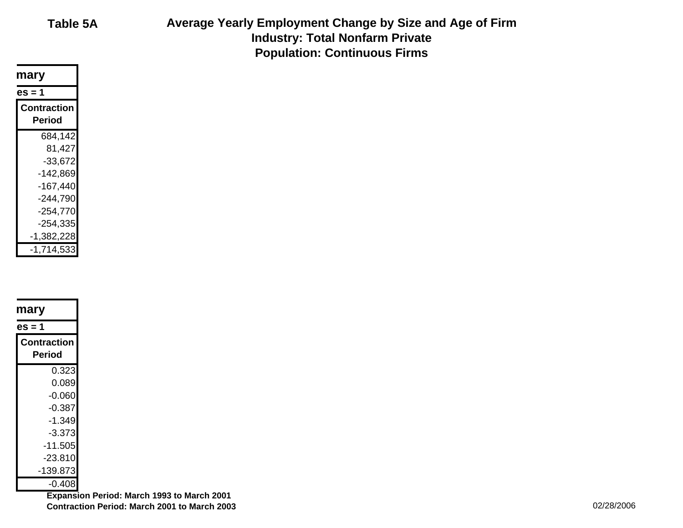| Table 5A |  |
|----------|--|
|          |  |

**Table 5A Average Yearly Employment Change by Size and Age of Firm Industry: Total Nonfarm Private Population: Continuous Firms**

| mary |                       |  |
|------|-----------------------|--|
|      | es = 1                |  |
|      | Contraction<br>Period |  |
|      | 684,142               |  |
|      | 81,427                |  |
|      | $-33,672$             |  |
|      | -142,869              |  |
|      | $-167,440$            |  |
|      | $-244,790$            |  |
|      | $-254,770$            |  |
|      | $-254,335$            |  |
|      | -1,382,228            |  |
|      | $-1,714,533$          |  |
|      |                       |  |

| mary        |  |
|-------------|--|
| es = 1      |  |
| Contraction |  |
| Period      |  |
| 0.323       |  |
| 0.089       |  |
| $-0.060$    |  |
| -0.387      |  |
| -1.349      |  |
| -3.373      |  |
| $-11.505$   |  |
| $-23.810$   |  |
| -139.873    |  |
| $-0.408$    |  |
|             |  |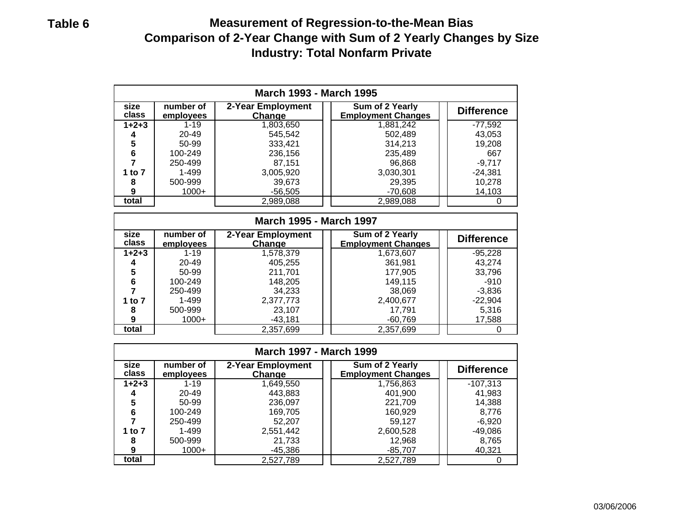# **Table 6 Measurement of Regression-to-the-Mean Bias Comparison of 2-Year Change with Sum of 2 Yearly Changes by Size Industry: Total Nonfarm Private**

| <b>March 1993 - March 1995</b> |                        |                   |           |           |  |  |  |  |
|--------------------------------|------------------------|-------------------|-----------|-----------|--|--|--|--|
| size<br>class                  | number of<br>employees | <b>Difference</b> |           |           |  |  |  |  |
| $1+2+3$                        | $1 - 19$               | 1,803,650         | 1,881,242 | $-77,592$ |  |  |  |  |
| 4                              | 20-49                  | 545,542           | 502,489   | 43,053    |  |  |  |  |
| 5                              | 50-99                  | 333,421           | 314,213   | 19,208    |  |  |  |  |
| 6                              | 100-249                | 236,156           | 235,489   | 667       |  |  |  |  |
|                                | 250-499                | 87.151            | 96,868    | $-9,717$  |  |  |  |  |
| 1 to $7$                       | 1-499                  | 3,005,920         | 3,030,301 | $-24,381$ |  |  |  |  |
| 8                              | 500-999                | 39,673            | 29,395    | 10,278    |  |  |  |  |
| 9                              | $1000+$                | $-56.505$         | $-70,608$ | 14,103    |  |  |  |  |
| total                          |                        | 2,989,088         | 2,989,088 |           |  |  |  |  |
|                                |                        |                   |           |           |  |  |  |  |

| <b>March 1995 - March 1997</b> |                        |                                    |                                              |                   |  |  |  |
|--------------------------------|------------------------|------------------------------------|----------------------------------------------|-------------------|--|--|--|
| size<br>class                  | number of<br>employees | 2-Year Employment<br><b>Change</b> | Sum of 2 Yearly<br><b>Employment Changes</b> | <b>Difference</b> |  |  |  |
| $1+2+3$                        | $1 - 19$               | 1,578,379                          | 1,673,607                                    | $-95,228$         |  |  |  |
|                                | 20-49                  | 405,255                            | 361,981                                      | 43,274            |  |  |  |
| 5                              | 50-99                  | 211,701                            | 177,905                                      | 33,796            |  |  |  |
| 6                              | 100-249                | 148,205                            | 149.115                                      | $-910$            |  |  |  |
|                                | 250-499                | 34,233                             | 38,069                                       | $-3,836$          |  |  |  |
| 1 to 7                         | 1-499                  | 2,377,773                          | 2,400,677                                    | $-22,904$         |  |  |  |
| 8                              | 500-999                | 23,107                             | 17.791                                       | 5,316             |  |  |  |
| 9                              | $1000+$                | $-43.181$                          | $-60,769$                                    | 17,588            |  |  |  |
| total                          |                        | 2,357,699                          | 2,357,699                                    |                   |  |  |  |

| <b>March 1997 - March 1999</b> |                        |                             |                                              |                   |  |  |  |
|--------------------------------|------------------------|-----------------------------|----------------------------------------------|-------------------|--|--|--|
| size<br>class                  | number of<br>employees | 2-Year Employment<br>Change | Sum of 2 Yearly<br><b>Employment Changes</b> | <b>Difference</b> |  |  |  |
| $1 + 2 + 3$                    | $1 - 19$               | 1,649,550                   | 1,756,863                                    | $-107,313$        |  |  |  |
|                                | 20-49                  | 443,883                     | 401,900                                      | 41,983            |  |  |  |
| 5                              | 50-99                  | 236,097                     | 221.709                                      | 14,388            |  |  |  |
| 6                              | 100-249                | 169,705                     | 160.929                                      | 8,776             |  |  |  |
|                                | 250-499                | 52.207                      | 59,127                                       | $-6,920$          |  |  |  |
| 1 to 7                         | 1-499                  | 2,551,442                   | 2,600,528                                    | -49,086           |  |  |  |
| 8                              | 500-999                | 21,733                      | 12,968                                       | 8,765             |  |  |  |
| 9                              | $1000+$                | -45,386                     | $-85,707$                                    | 40,321            |  |  |  |
| total                          |                        | 2,527,789                   | 2,527,789                                    |                   |  |  |  |